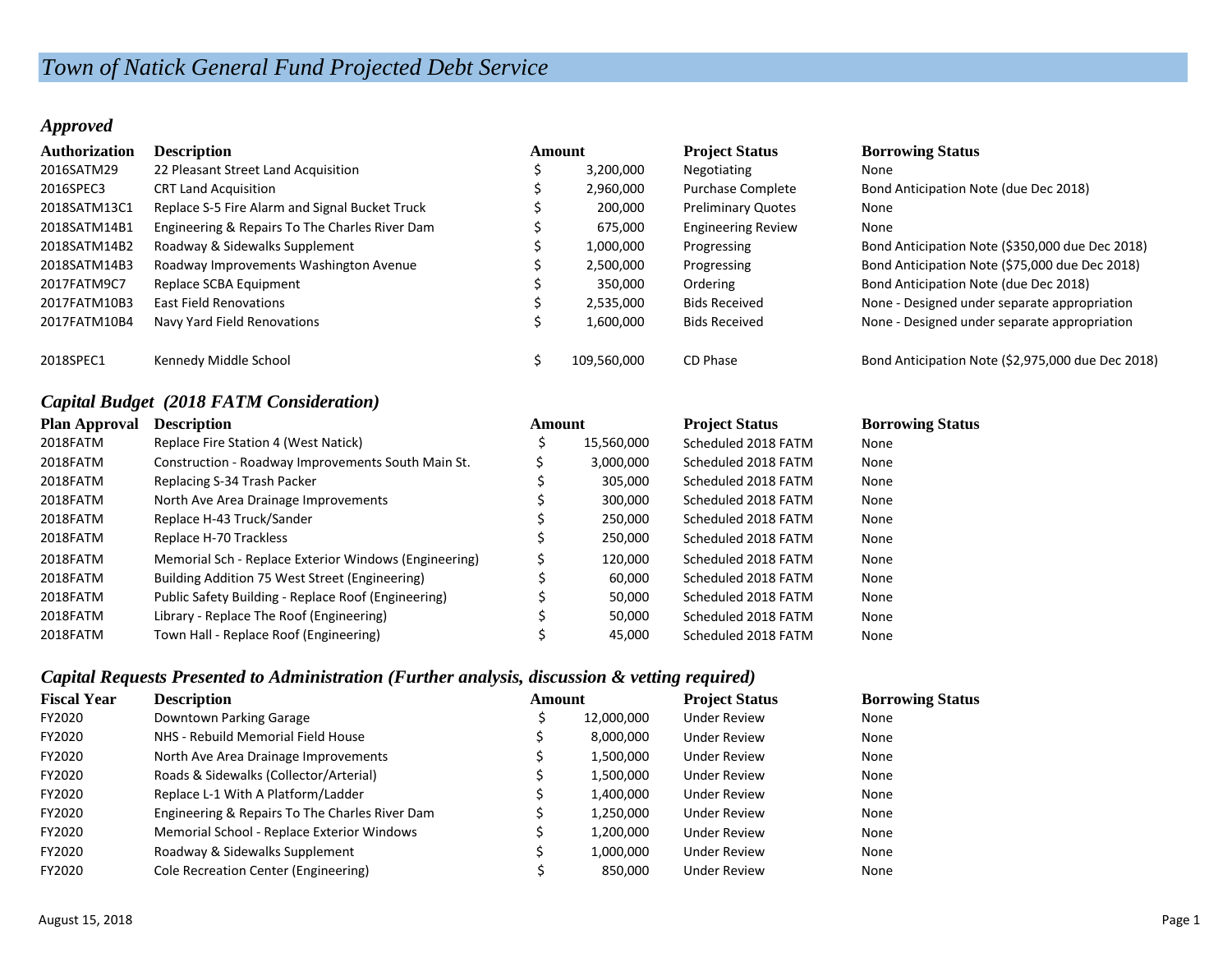# *Town of Natick General Fund Projected Debt Service*

#### *Approved*

| <b>Authorization</b> | <b>Description</b>                             | Amount |             | <b>Project Status</b>     | <b>Borrowing Status</b>                           |
|----------------------|------------------------------------------------|--------|-------------|---------------------------|---------------------------------------------------|
| 2016SATM29           | 22 Pleasant Street Land Acquisition            |        | 3,200,000   | Negotiating               | None                                              |
| 2016SPEC3            | <b>CRT Land Acquisition</b>                    |        | 2,960,000   | Purchase Complete         | Bond Anticipation Note (due Dec 2018)             |
| 2018SATM13C1         | Replace S-5 Fire Alarm and Signal Bucket Truck |        | 200,000     | <b>Preliminary Quotes</b> | None                                              |
| 2018SATM14B1         | Engineering & Repairs To The Charles River Dam |        | 675,000     | <b>Engineering Review</b> | None                                              |
| 2018SATM14B2         | Roadway & Sidewalks Supplement                 |        | 1,000,000   | Progressing               | Bond Anticipation Note (\$350,000 due Dec 2018)   |
| 2018SATM14B3         | Roadway Improvements Washington Avenue         |        | 2,500,000   | Progressing               | Bond Anticipation Note (\$75,000 due Dec 2018)    |
| 2017FATM9C7          | Replace SCBA Equipment                         |        | 350.000     | Ordering                  | Bond Anticipation Note (due Dec 2018)             |
| 2017FATM10B3         | East Field Renovations                         |        | 2,535,000   | <b>Bids Received</b>      | None - Designed under separate appropriation      |
| 2017FATM10B4         | Navy Yard Field Renovations                    |        | 1,600,000   | <b>Bids Received</b>      | None - Designed under separate appropriation      |
| 2018SPEC1            | Kennedy Middle School                          |        | 109.560.000 | CD Phase                  | Bond Anticipation Note (\$2,975,000 due Dec 2018) |

## *Capital Budget (2018 FATM Consideration)*

| Plan Approval | <b>Description</b>                                    |  | Amount     | <b>Project Status</b> | <b>Borrowing Status</b> |  |
|---------------|-------------------------------------------------------|--|------------|-----------------------|-------------------------|--|
| 2018FATM      | Replace Fire Station 4 (West Natick)                  |  | 15,560,000 | Scheduled 2018 FATM   | None                    |  |
| 2018FATM      | Construction - Roadway Improvements South Main St.    |  | 3,000,000  | Scheduled 2018 FATM   | None                    |  |
| 2018FATM      | Replacing S-34 Trash Packer                           |  | 305,000    | Scheduled 2018 FATM   | None                    |  |
| 2018FATM      | North Ave Area Drainage Improvements                  |  | 300,000    | Scheduled 2018 FATM   | None                    |  |
| 2018FATM      | Replace H-43 Truck/Sander                             |  | 250,000    | Scheduled 2018 FATM   | None                    |  |
| 2018FATM      | Replace H-70 Trackless                                |  | 250,000    | Scheduled 2018 FATM   | None                    |  |
| 2018FATM      | Memorial Sch - Replace Exterior Windows (Engineering) |  | 120,000    | Scheduled 2018 FATM   | None                    |  |
| 2018FATM      | Building Addition 75 West Street (Engineering)        |  | 60,000     | Scheduled 2018 FATM   | None                    |  |
| 2018FATM      | Public Safety Building - Replace Roof (Engineering)   |  | 50,000     | Scheduled 2018 FATM   | None                    |  |
| 2018FATM      | Library - Replace The Roof (Engineering)              |  | 50,000     | Scheduled 2018 FATM   | None                    |  |
| 2018FATM      | Town Hall - Replace Roof (Engineering)                |  | 45.000     | Scheduled 2018 FATM   | None                    |  |

### *Capital Requests Presented to Administration (Further analysis, discussion & vetting required)*

| <b>Fiscal Year</b> | <b>Description</b>                             | Amount |            | <b>Project Status</b> | <b>Borrowing Status</b> |
|--------------------|------------------------------------------------|--------|------------|-----------------------|-------------------------|
| FY2020             | Downtown Parking Garage                        |        | 12,000,000 | <b>Under Review</b>   | None                    |
| FY2020             | NHS - Rebuild Memorial Field House             |        | 8,000,000  | <b>Under Review</b>   | None                    |
| FY2020             | North Ave Area Drainage Improvements           |        | 1,500,000  | <b>Under Review</b>   | None                    |
| FY2020             | Roads & Sidewalks (Collector/Arterial)         |        | 1,500,000  | <b>Under Review</b>   | None                    |
| FY2020             | Replace L-1 With A Platform/Ladder             |        | 1,400,000  | <b>Under Review</b>   | None                    |
| FY2020             | Engineering & Repairs To The Charles River Dam |        | 1,250,000  | <b>Under Review</b>   | None                    |
| FY2020             | Memorial School - Replace Exterior Windows     |        | 1,200,000  | <b>Under Review</b>   | None                    |
| FY2020             | Roadway & Sidewalks Supplement                 |        | 1,000,000  | <b>Under Review</b>   | None                    |
| FY2020             | Cole Recreation Center (Engineering)           |        | 850,000    | <b>Under Review</b>   | None                    |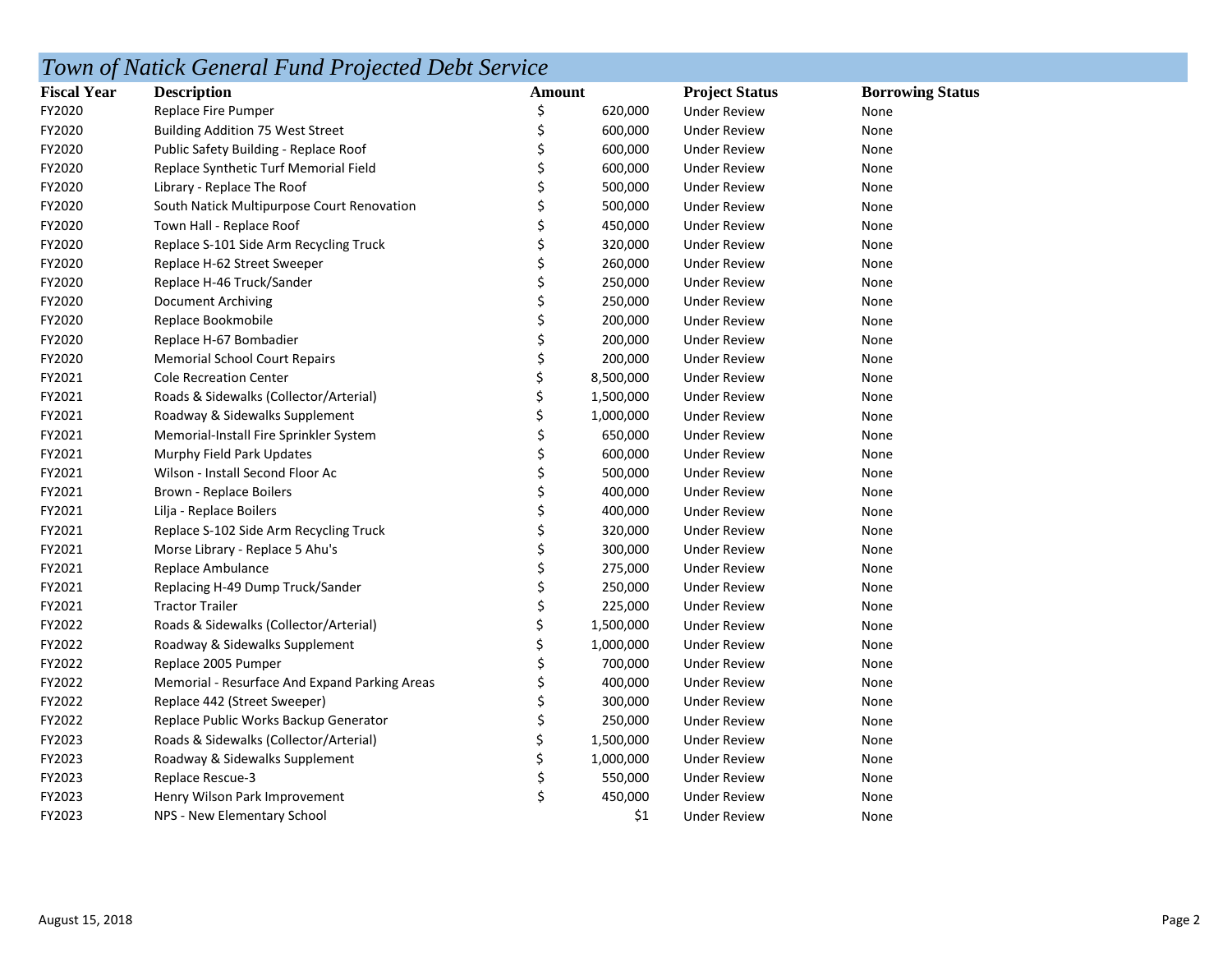# *Town of Natick General Fund Projected Debt Service*

| <b>Fiscal Year</b> | <b>Description</b>                            | Amount |           | <b>Project Status</b> | <b>Borrowing Status</b> |
|--------------------|-----------------------------------------------|--------|-----------|-----------------------|-------------------------|
| FY2020             | Replace Fire Pumper                           | Ś      | 620,000   | <b>Under Review</b>   | None                    |
| FY2020             | <b>Building Addition 75 West Street</b>       | \$     | 600,000   | <b>Under Review</b>   | None                    |
| FY2020             | Public Safety Building - Replace Roof         | \$     | 600,000   | <b>Under Review</b>   | None                    |
| FY2020             | Replace Synthetic Turf Memorial Field         |        | 600,000   | <b>Under Review</b>   | None                    |
| FY2020             | Library - Replace The Roof                    |        | 500,000   | <b>Under Review</b>   | None                    |
| FY2020             | South Natick Multipurpose Court Renovation    |        | 500,000   | <b>Under Review</b>   | None                    |
| FY2020             | Town Hall - Replace Roof                      |        | 450,000   | <b>Under Review</b>   | None                    |
| FY2020             | Replace S-101 Side Arm Recycling Truck        |        | 320,000   | <b>Under Review</b>   | None                    |
| FY2020             | Replace H-62 Street Sweeper                   |        | 260,000   | <b>Under Review</b>   | None                    |
| FY2020             | Replace H-46 Truck/Sander                     |        | 250,000   | <b>Under Review</b>   | None                    |
| FY2020             | Document Archiving                            |        | 250,000   | <b>Under Review</b>   | None                    |
| FY2020             | Replace Bookmobile                            | Ś      | 200,000   | <b>Under Review</b>   | None                    |
| FY2020             | Replace H-67 Bombadier                        | \$     | 200,000   | <b>Under Review</b>   | None                    |
| FY2020             | <b>Memorial School Court Repairs</b>          |        | 200,000   | <b>Under Review</b>   | None                    |
| FY2021             | <b>Cole Recreation Center</b>                 |        | 8,500,000 | <b>Under Review</b>   | None                    |
| FY2021             | Roads & Sidewalks (Collector/Arterial)        |        | 1,500,000 | <b>Under Review</b>   | None                    |
| FY2021             | Roadway & Sidewalks Supplement                |        | 1,000,000 | <b>Under Review</b>   | None                    |
| FY2021             | Memorial-Install Fire Sprinkler System        |        | 650,000   | <b>Under Review</b>   | None                    |
| FY2021             | Murphy Field Park Updates                     |        | 600,000   | <b>Under Review</b>   | None                    |
| FY2021             | Wilson - Install Second Floor Ac              |        | 500,000   | <b>Under Review</b>   | None                    |
| FY2021             | Brown - Replace Boilers                       |        | 400,000   | <b>Under Review</b>   | None                    |
| FY2021             | Lilja - Replace Boilers                       |        | 400,000   | <b>Under Review</b>   | None                    |
| FY2021             | Replace S-102 Side Arm Recycling Truck        |        | 320,000   | <b>Under Review</b>   | None                    |
| FY2021             | Morse Library - Replace 5 Ahu's               |        | 300,000   | <b>Under Review</b>   | None                    |
| FY2021             | Replace Ambulance                             |        | 275,000   | <b>Under Review</b>   | None                    |
| FY2021             | Replacing H-49 Dump Truck/Sander              |        | 250,000   | <b>Under Review</b>   | None                    |
| FY2021             | <b>Tractor Trailer</b>                        |        | 225,000   | <b>Under Review</b>   | None                    |
| FY2022             | Roads & Sidewalks (Collector/Arterial)        |        | 1,500,000 | <b>Under Review</b>   | None                    |
| FY2022             | Roadway & Sidewalks Supplement                |        | 1,000,000 | <b>Under Review</b>   | None                    |
| FY2022             | Replace 2005 Pumper                           |        | 700,000   | <b>Under Review</b>   | None                    |
| FY2022             | Memorial - Resurface And Expand Parking Areas |        | 400,000   | <b>Under Review</b>   | None                    |
| FY2022             | Replace 442 (Street Sweeper)                  |        | 300,000   | <b>Under Review</b>   | None                    |
| FY2022             | Replace Public Works Backup Generator         |        | 250,000   | <b>Under Review</b>   | None                    |
| FY2023             | Roads & Sidewalks (Collector/Arterial)        | Ś      | 1,500,000 | <b>Under Review</b>   | None                    |
| FY2023             | Roadway & Sidewalks Supplement                |        | 1,000,000 | <b>Under Review</b>   | None                    |
| FY2023             | Replace Rescue-3                              |        | 550,000   | Under Review          | None                    |
| FY2023             | Henry Wilson Park Improvement                 | Ś      | 450,000   | <b>Under Review</b>   | None                    |
| FY2023             | NPS - New Elementary School                   |        | \$1       | <b>Under Review</b>   | None                    |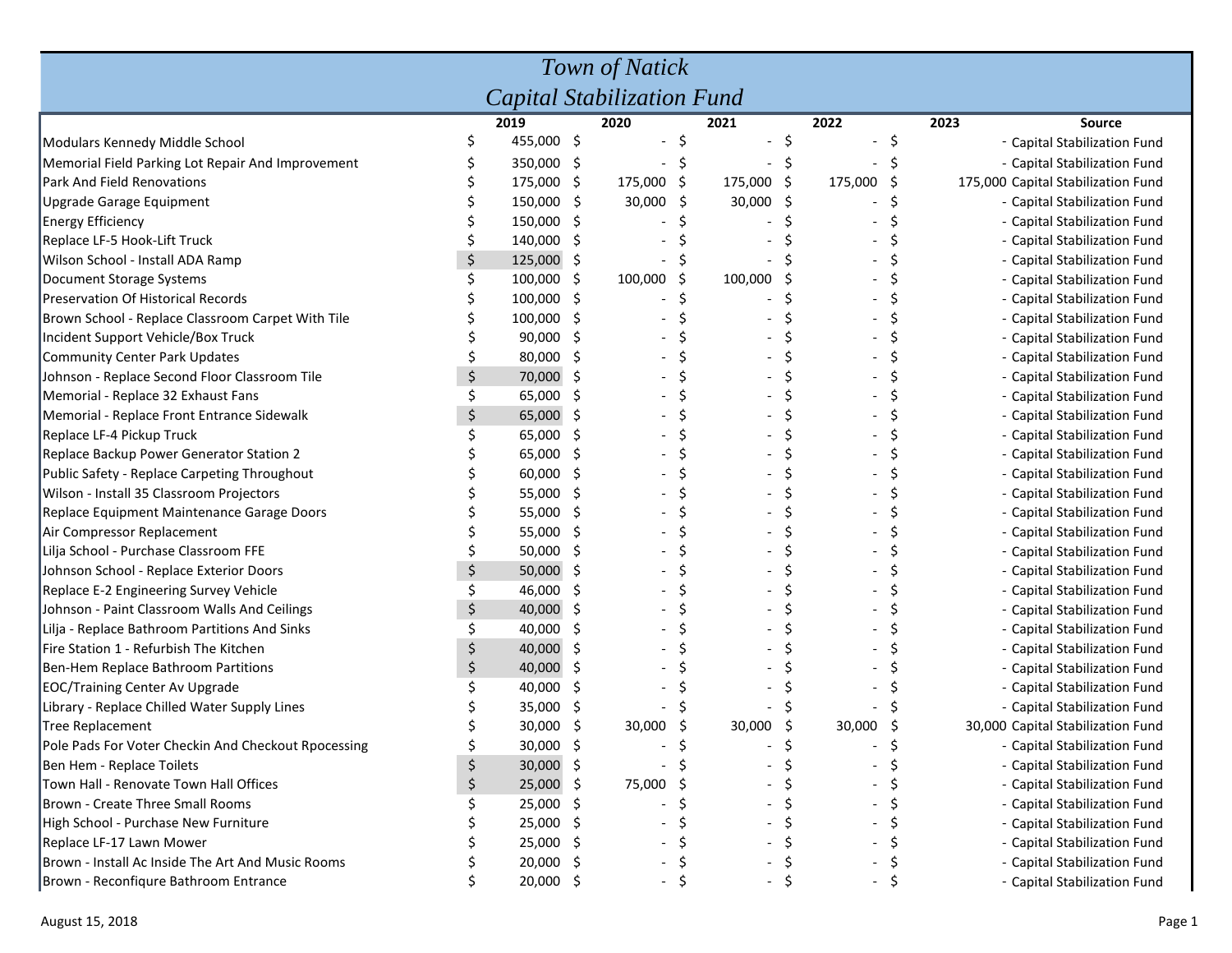| Town of Natick                                      |    |             |     |         |         |         |    |         |     |                                    |                              |  |
|-----------------------------------------------------|----|-------------|-----|---------|---------|---------|----|---------|-----|------------------------------------|------------------------------|--|
| Capital Stabilization Fund                          |    |             |     |         |         |         |    |         |     |                                    |                              |  |
|                                                     |    | 2019        |     | 2020    |         | 2021    |    | 2022    |     | 2023                               | <b>Source</b>                |  |
| Modulars Kennedy Middle School                      |    | 455,000 \$  |     |         |         |         | \$ |         | Ś   |                                    | - Capital Stabilization Fund |  |
| Memorial Field Parking Lot Repair And Improvement   |    | 350,000     | -\$ |         |         |         |    |         |     |                                    | - Capital Stabilization Fund |  |
| Park And Field Renovations                          |    | 175,000     | -\$ | 175,000 | Ş       | 175,000 | \$ | 175,000 | -\$ | 175,000 Capital Stabilization Fund |                              |  |
| Upgrade Garage Equipment                            |    | 150,000     | -\$ | 30,000  | S       | 30,000  | \$ |         |     |                                    | - Capital Stabilization Fund |  |
| <b>Energy Efficiency</b>                            |    | 150,000     | -\$ |         |         |         |    |         |     |                                    | - Capital Stabilization Fund |  |
| Replace LF-5 Hook-Lift Truck                        |    | 140,000     | -\$ |         |         |         |    |         |     |                                    | - Capital Stabilization Fund |  |
| Wilson School - Install ADA Ramp                    |    | 125,000     | -\$ |         |         |         |    |         |     |                                    | - Capital Stabilization Fund |  |
| Document Storage Systems                            |    | 100,000     | -Ş  | 100,000 | -\$     | 100,000 | \$ |         |     |                                    | - Capital Stabilization Fund |  |
| Preservation Of Historical Records                  |    | 100,000     | -Ş  |         |         |         |    |         |     |                                    | - Capital Stabilization Fund |  |
| Brown School - Replace Classroom Carpet With Tile   |    | 100,000     | -S  |         |         |         |    |         |     |                                    | - Capital Stabilization Fund |  |
| Incident Support Vehicle/Box Truck                  |    | 90,000      | S   |         |         |         |    |         |     |                                    | - Capital Stabilization Fund |  |
| Community Center Park Updates                       |    | 80,000      | S   |         |         |         |    |         |     |                                    | - Capital Stabilization Fund |  |
| Johnson - Replace Second Floor Classroom Tile       | \$ | 70,000      | S   |         |         |         |    |         |     |                                    | - Capital Stabilization Fund |  |
| Memorial - Replace 32 Exhaust Fans                  | Ś  | 65,000      | S   |         |         |         |    |         |     |                                    | - Capital Stabilization Fund |  |
| Memorial - Replace Front Entrance Sidewalk          | \$ | 65,000      | -\$ |         |         |         |    |         |     |                                    | - Capital Stabilization Fund |  |
| Replace LF-4 Pickup Truck                           |    | 65,000      | S   |         |         |         | Ś  |         |     |                                    | - Capital Stabilization Fund |  |
| Replace Backup Power Generator Station 2            |    | 65,000      | S   |         |         |         |    |         |     |                                    | - Capital Stabilization Fund |  |
| Public Safety - Replace Carpeting Throughout        |    | 60,000      | \$. |         |         |         |    |         |     |                                    | - Capital Stabilization Fund |  |
| Wilson - Install 35 Classroom Projectors            |    | 55,000      | \$. |         |         |         | \$ |         |     |                                    | - Capital Stabilization Fund |  |
| Replace Equipment Maintenance Garage Doors          |    | 55,000      | \$. |         |         |         | \$ |         |     |                                    | - Capital Stabilization Fund |  |
| Air Compressor Replacement                          |    | 55,000      | S   |         |         |         | Ś  |         |     |                                    | - Capital Stabilization Fund |  |
| Lilja School - Purchase Classroom FFE               |    | 50,000      | S   |         |         |         | Ś  |         |     |                                    | - Capital Stabilization Fund |  |
| Johnson School - Replace Exterior Doors             | \$ | 50,000      | \$. |         |         |         | Ś  |         |     |                                    | - Capital Stabilization Fund |  |
| Replace E-2 Engineering Survey Vehicle              |    | 46,000      | S   |         |         |         |    |         |     |                                    | - Capital Stabilization Fund |  |
| Johnson - Paint Classroom Walls And Ceilings        | \$ | 40,000      | S   |         |         |         |    |         |     |                                    | - Capital Stabilization Fund |  |
| Lilja - Replace Bathroom Partitions And Sinks       |    | 40,000      | S   |         |         |         |    |         |     |                                    | - Capital Stabilization Fund |  |
| Fire Station 1 - Refurbish The Kitchen              |    | 40,000      | -S  |         |         |         |    |         |     |                                    | - Capital Stabilization Fund |  |
| Ben-Hem Replace Bathroom Partitions                 |    | 40,000      | -S  |         |         |         |    |         |     |                                    | - Capital Stabilization Fund |  |
| <b>EOC/Training Center Av Upgrade</b>               |    | 40,000      | S   |         |         |         |    |         |     |                                    | - Capital Stabilization Fund |  |
| Library - Replace Chilled Water Supply Lines        |    | 35,000      | S   |         |         |         |    |         |     |                                    | - Capital Stabilization Fund |  |
| Tree Replacement                                    |    | 30,000      | -\$ | 30,000  | .S      | 30,000  | Ş  | 30,000  |     | 30,000 Capital Stabilization Fund  |                              |  |
| Pole Pads For Voter Checkin And Checkout Rpocessing | Ç  | 30,000 \$   |     |         |         |         |    |         | ১   |                                    | - Capital Stabilization Fund |  |
| Ben Hem - Replace Toilets                           | \$ | $30,000$ \$ |     |         |         |         |    |         |     |                                    | - Capital Stabilization Fund |  |
| Town Hall - Renovate Town Hall Offices              | \$ | 25,000      | -\$ | 75,000  |         |         |    |         |     |                                    | - Capital Stabilization Fund |  |
| Brown - Create Three Small Rooms                    |    | 25,000      | -\$ |         |         |         |    |         |     |                                    | - Capital Stabilization Fund |  |
| High School - Purchase New Furniture                |    | 25,000      | -\$ |         |         |         |    |         |     |                                    | - Capital Stabilization Fund |  |
| Replace LF-17 Lawn Mower                            |    | 25,000      | -Ş  |         |         |         |    |         |     |                                    | - Capital Stabilization Fund |  |
| Brown - Install Ac Inside The Art And Music Rooms   |    | 20,000      | -S  |         |         |         |    |         |     |                                    | - Capital Stabilization Fund |  |
| Brown - Reconfiqure Bathroom Entrance               |    | 20,000 \$   |     |         | $\zeta$ |         | \$ |         | \$  |                                    | - Capital Stabilization Fund |  |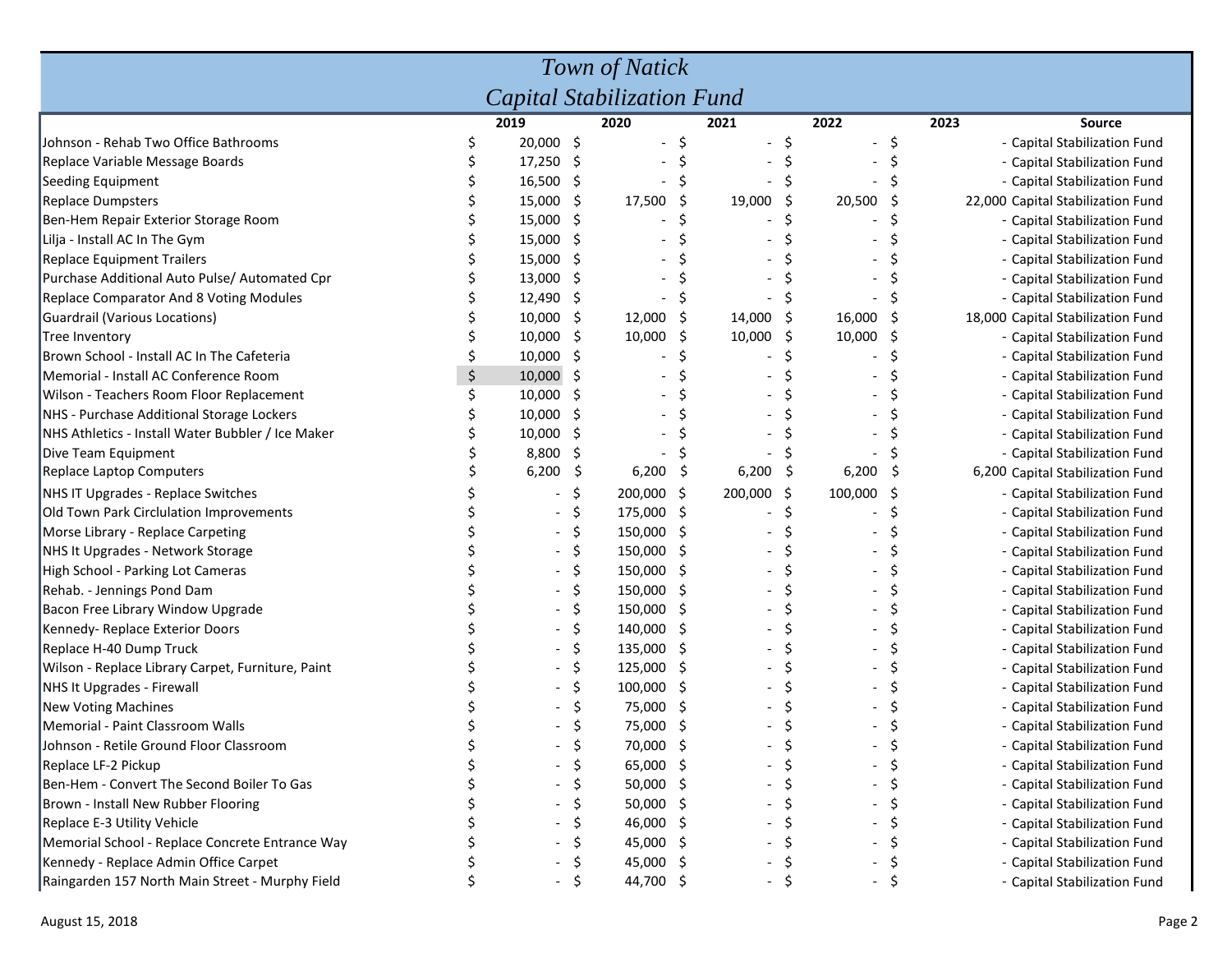| Town of Natick                                    |  |           |     |             |     |         |     |                              |    |                                   |  |
|---------------------------------------------------|--|-----------|-----|-------------|-----|---------|-----|------------------------------|----|-----------------------------------|--|
| <b>Capital Stabilization Fund</b>                 |  |           |     |             |     |         |     |                              |    |                                   |  |
|                                                   |  | 2019      |     | 2020        |     | 2021    |     | 2022                         |    | 2023<br><b>Source</b>             |  |
| Johnson - Rehab Two Office Bathrooms              |  | 20,000 \$ |     |             |     |         | \$  | $\qquad \qquad \blacksquare$ | \$ | - Capital Stabilization Fund      |  |
| Replace Variable Message Boards                   |  | 17,250    | \$  |             |     |         |     |                              |    | - Capital Stabilization Fund      |  |
| Seeding Equipment                                 |  | 16,500    | -\$ |             |     |         |     |                              |    | - Capital Stabilization Fund      |  |
| <b>Replace Dumpsters</b>                          |  | 15,000    | -\$ | 17,500      | \$. | 19,000  | \$  | 20,500                       |    | 22,000 Capital Stabilization Fund |  |
| Ben-Hem Repair Exterior Storage Room              |  | 15,000    | -\$ |             |     |         | Ś   |                              |    | - Capital Stabilization Fund      |  |
| Lilja - Install AC In The Gym                     |  | 15,000    | -\$ |             |     |         |     |                              |    | - Capital Stabilization Fund      |  |
| <b>Replace Equipment Trailers</b>                 |  | 15,000    | S   |             |     |         |     |                              |    | - Capital Stabilization Fund      |  |
| Purchase Additional Auto Pulse/ Automated Cpr     |  | 13,000    | S   |             |     |         |     |                              |    | - Capital Stabilization Fund      |  |
| <b>Replace Comparator And 8 Voting Modules</b>    |  | 12,490    | -\$ |             |     |         |     |                              |    | - Capital Stabilization Fund      |  |
| Guardrail (Various Locations)                     |  | 10,000    | -\$ | 12,000 \$   |     | 14,000  | -\$ | 16,000                       | S  | 18,000 Capital Stabilization Fund |  |
| Tree Inventory                                    |  | 10,000    | -\$ | 10,000 \$   |     | 10,000  | \$  | 10,000                       |    | - Capital Stabilization Fund      |  |
| Brown School - Install AC In The Cafeteria        |  | 10,000    | -S  |             |     |         |     |                              |    | - Capital Stabilization Fund      |  |
| Memorial - Install AC Conference Room             |  | 10,000    | -\$ |             |     |         |     |                              |    | - Capital Stabilization Fund      |  |
| Wilson - Teachers Room Floor Replacement          |  | 10,000    | S   |             |     |         |     |                              |    | - Capital Stabilization Fund      |  |
| NHS - Purchase Additional Storage Lockers         |  | 10,000    |     |             |     |         |     |                              |    | - Capital Stabilization Fund      |  |
| NHS Athletics - Install Water Bubbler / Ice Maker |  | 10,000    | S   |             |     |         |     |                              |    | - Capital Stabilization Fund      |  |
| Dive Team Equipment                               |  | 8,800     | -S  |             |     |         |     |                              |    | - Capital Stabilization Fund      |  |
| Replace Laptop Computers                          |  | 6,200     | -\$ | 6,200       | Ş   | 6,200   | -\$ | 6,200                        |    | 6,200 Capital Stabilization Fund  |  |
| NHS IT Upgrades - Replace Switches                |  |           | \$  | 200,000 \$  |     | 200,000 | -\$ | 100,000                      |    | - Capital Stabilization Fund      |  |
| Old Town Park Circlulation Improvements           |  |           | \$  | 175,000 \$  |     |         | \$  |                              |    | - Capital Stabilization Fund      |  |
| Morse Library - Replace Carpeting                 |  |           | \$  | 150,000 \$  |     |         |     |                              |    | - Capital Stabilization Fund      |  |
| NHS It Upgrades - Network Storage                 |  |           | \$  | 150,000 \$  |     |         |     |                              |    | - Capital Stabilization Fund      |  |
| High School - Parking Lot Cameras                 |  |           | \$  | 150,000 \$  |     |         | Ś   |                              |    | - Capital Stabilization Fund      |  |
| Rehab. - Jennings Pond Dam                        |  |           | \$  | 150,000     | -S  |         | Ś   |                              |    | - Capital Stabilization Fund      |  |
| Bacon Free Library Window Upgrade                 |  |           | \$  | 150,000     | -S  |         | Ś   |                              |    | - Capital Stabilization Fund      |  |
| Kennedy-Replace Exterior Doors                    |  |           | \$  | 140,000 \$  |     |         | Ś   |                              |    | - Capital Stabilization Fund      |  |
| Replace H-40 Dump Truck                           |  |           | \$  | 135,000 \$  |     |         |     |                              |    | - Capital Stabilization Fund      |  |
| Wilson - Replace Library Carpet, Furniture, Paint |  |           | \$. | 125,000 \$  |     |         |     |                              |    | - Capital Stabilization Fund      |  |
| NHS It Upgrades - Firewall                        |  |           |     | 100,000     | -S  |         |     |                              |    | - Capital Stabilization Fund      |  |
| New Voting Machines                               |  |           |     | 75,000      | S   |         |     |                              |    | - Capital Stabilization Fund      |  |
| Memorial - Paint Classroom Walls                  |  |           |     | 75,000      | S   |         |     |                              |    | - Capital Stabilization Fund      |  |
| Johnson - Retile Ground Floor Classroom           |  |           |     | 70,000      |     |         |     |                              |    | <b>Capital Stabilization Fund</b> |  |
| Replace LF-2 Pickup                               |  |           | \$. | 65,000 \$   |     |         | \$  |                              | \$ | - Capital Stabilization Fund      |  |
| Ben-Hem - Convert The Second Boiler To Gas        |  |           | S   | $50,000$ \$ |     |         | Ş   |                              | Ş  | - Capital Stabilization Fund      |  |
| Brown - Install New Rubber Flooring               |  |           | S   | $50,000$ \$ |     |         | \$  |                              | \$ | - Capital Stabilization Fund      |  |
| Replace E-3 Utility Vehicle                       |  |           |     | 46,000 \$   |     |         | S   |                              | \$ | - Capital Stabilization Fund      |  |
| Memorial School - Replace Concrete Entrance Way   |  |           |     | 45,000 \$   |     |         |     |                              | S  | - Capital Stabilization Fund      |  |
| Kennedy - Replace Admin Office Carpet             |  |           |     | 45,000 \$   |     |         | S   |                              |    | - Capital Stabilization Fund      |  |
| Raingarden 157 North Main Street - Murphy Field   |  |           | -S  | 44,700 \$   |     |         | \$  |                              | \$ | - Capital Stabilization Fund      |  |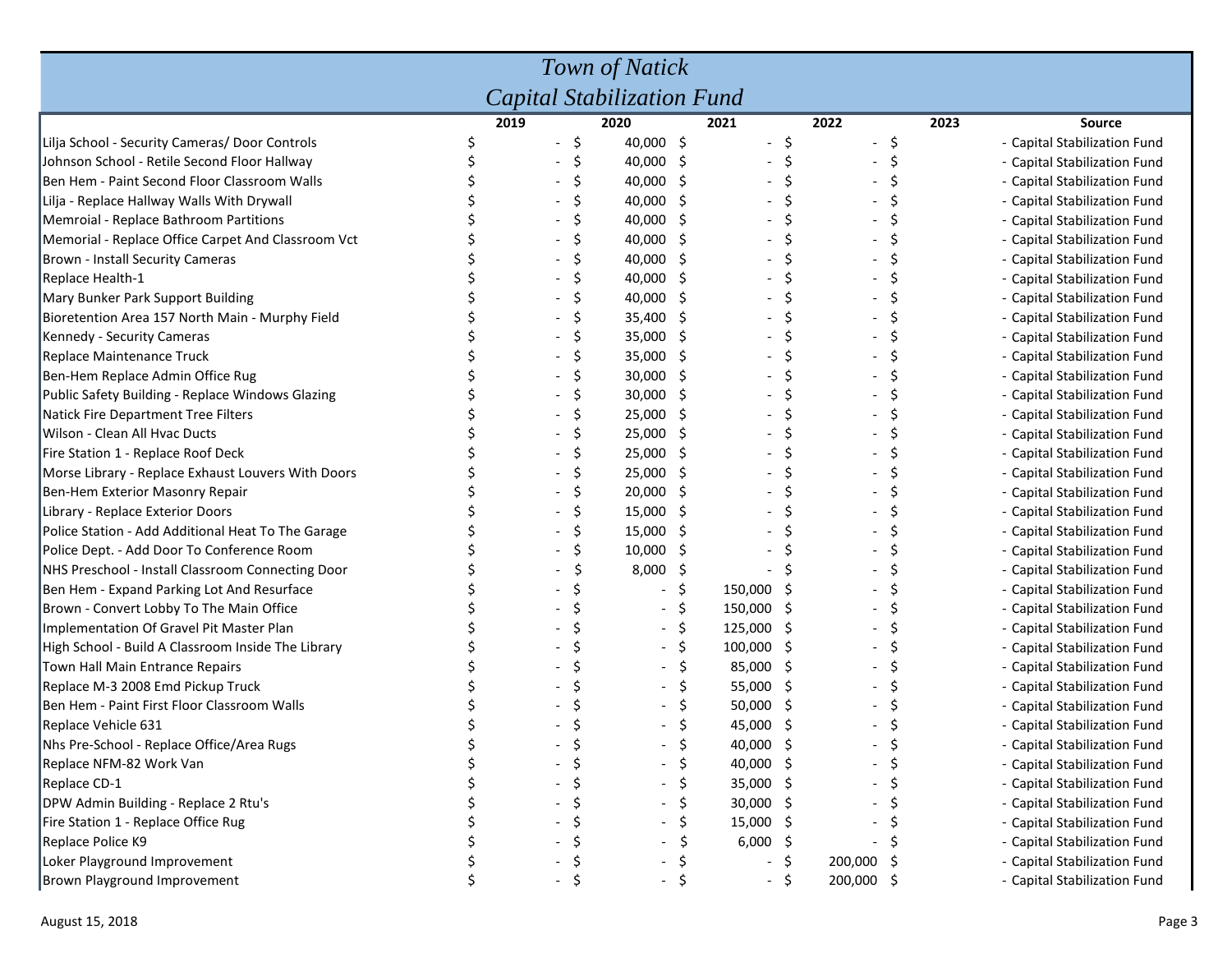| Town of Natick                                     |  |                                 |             |     |                          |      |                |   |                              |  |  |  |
|----------------------------------------------------|--|---------------------------------|-------------|-----|--------------------------|------|----------------|---|------------------------------|--|--|--|
| Capital Stabilization Fund                         |  |                                 |             |     |                          |      |                |   |                              |  |  |  |
|                                                    |  | 2019                            | 2020        |     | 2021                     |      | 2022           |   | 2023<br>Source               |  |  |  |
| Lilja School - Security Cameras/ Door Controls     |  | -\$<br>$\overline{\phantom{a}}$ | 40,000 \$   |     | $\overline{\phantom{a}}$ | \$   | - \$           |   | - Capital Stabilization Fund |  |  |  |
| Johnson School - Retile Second Floor Hallway       |  |                                 | 40,000 \$   |     |                          | \$   | $\blacksquare$ | S | - Capital Stabilization Fund |  |  |  |
| Ben Hem - Paint Second Floor Classroom Walls       |  | S                               | $40,000$ \$ |     |                          | \$   |                |   | - Capital Stabilization Fund |  |  |  |
| Lilja - Replace Hallway Walls With Drywall         |  | S                               | 40,000      | S   |                          | Ś    |                |   | - Capital Stabilization Fund |  |  |  |
| Memroial - Replace Bathroom Partitions             |  |                                 | 40,000      | S   |                          | Ś    |                |   | - Capital Stabilization Fund |  |  |  |
| Memorial - Replace Office Carpet And Classroom Vct |  | S                               | 40,000      | S   |                          | \$   |                |   | - Capital Stabilization Fund |  |  |  |
| Brown - Install Security Cameras                   |  | S                               | 40,000      | Ş   |                          | \$   |                |   | - Capital Stabilization Fund |  |  |  |
| Replace Health-1                                   |  | \$.                             | 40,000 \$   |     |                          | \$   |                |   | - Capital Stabilization Fund |  |  |  |
| Mary Bunker Park Support Building                  |  | \$.                             | 40,000 \$   |     |                          | \$   |                |   | - Capital Stabilization Fund |  |  |  |
| Bioretention Area 157 North Main - Murphy Field    |  | S                               | 35,400 \$   |     |                          | Ś    |                | S | - Capital Stabilization Fund |  |  |  |
| Kennedy - Security Cameras                         |  | S                               | 35,000 \$   |     |                          | Ś    |                |   | - Capital Stabilization Fund |  |  |  |
| Replace Maintenance Truck                          |  | S                               | 35,000 \$   |     |                          | Ś    |                |   | - Capital Stabilization Fund |  |  |  |
| Ben-Hem Replace Admin Office Rug                   |  |                                 | 30,000 \$   |     |                          | Ś    |                |   | - Capital Stabilization Fund |  |  |  |
| Public Safety Building - Replace Windows Glazing   |  |                                 | 30,000 \$   |     |                          |      |                |   | - Capital Stabilization Fund |  |  |  |
| Natick Fire Department Tree Filters                |  |                                 | $25,000$ \$ |     |                          | \$   |                |   | - Capital Stabilization Fund |  |  |  |
| Wilson - Clean All Hvac Ducts                      |  | S                               | 25,000      | -S  |                          | Ś    |                |   | - Capital Stabilization Fund |  |  |  |
| Fire Station 1 - Replace Roof Deck                 |  | S                               | 25,000      | S   |                          | Ś    |                |   | - Capital Stabilization Fund |  |  |  |
| Morse Library - Replace Exhaust Louvers With Doors |  |                                 | 25,000      | Ş   |                          | Ś    |                |   | - Capital Stabilization Fund |  |  |  |
| Ben-Hem Exterior Masonry Repair                    |  | S                               | 20,000 \$   |     |                          | \$   |                |   | - Capital Stabilization Fund |  |  |  |
| Library - Replace Exterior Doors                   |  | \$.                             | 15,000 \$   |     |                          | \$   |                |   | - Capital Stabilization Fund |  |  |  |
| Police Station - Add Additional Heat To The Garage |  | \$                              | 15,000 \$   |     |                          | \$   |                |   | - Capital Stabilization Fund |  |  |  |
| Police Dept. - Add Door To Conference Room         |  | S                               | 10,000      | S   |                          | Ś    |                |   | - Capital Stabilization Fund |  |  |  |
| NHS Preschool - Install Classroom Connecting Door  |  |                                 | 8,000       | \$. |                          | Ś    |                |   | - Capital Stabilization Fund |  |  |  |
| Ben Hem - Expand Parking Lot And Resurface         |  |                                 |             | S   | 150,000                  | \$.  |                |   | - Capital Stabilization Fund |  |  |  |
| Brown - Convert Lobby To The Main Office           |  |                                 |             | S   | 150,000                  | -\$  |                |   | - Capital Stabilization Fund |  |  |  |
| Implementation Of Gravel Pit Master Plan           |  |                                 |             | \$  | 125,000                  | -S   |                |   | - Capital Stabilization Fund |  |  |  |
| High School - Build A Classroom Inside The Library |  |                                 |             | \$  | $100,000$ \$             |      |                |   | - Capital Stabilization Fund |  |  |  |
| Town Hall Main Entrance Repairs                    |  |                                 |             | Ŝ   | 85,000                   | -S   |                |   | - Capital Stabilization Fund |  |  |  |
| Replace M-3 2008 Emd Pickup Truck                  |  |                                 |             |     | 55,000                   | -S   |                |   | - Capital Stabilization Fund |  |  |  |
| Ben Hem - Paint First Floor Classroom Walls        |  |                                 |             |     | 50,000                   | -S   |                |   | - Capital Stabilization Fund |  |  |  |
| Replace Vehicle 631                                |  |                                 |             |     | 45,000                   | -\$  |                |   | - Capital Stabilization Fund |  |  |  |
| Nhs Pre-School - Replace Office/Area Rugs          |  |                                 |             | ₹   | 40,000 \$                |      |                |   | - Capital Stabilization Fund |  |  |  |
| Replace NFM-82 Work Van                            |  |                                 |             | \$  | 40,000 \$                |      |                |   | - Capital Stabilization Fund |  |  |  |
| Replace CD-1                                       |  |                                 |             | \$. | 35,000 \$                |      |                |   | - Capital Stabilization Fund |  |  |  |
| DPW Admin Building - Replace 2 Rtu's               |  |                                 |             | S   | 30,000 \$                |      |                |   | - Capital Stabilization Fund |  |  |  |
| Fire Station 1 - Replace Office Rug                |  |                                 |             |     | 15,000 \$                |      |                |   | - Capital Stabilization Fund |  |  |  |
| Replace Police K9                                  |  |                                 |             |     | 6,000                    | - \$ |                |   | - Capital Stabilization Fund |  |  |  |
| Loker Playground Improvement                       |  |                                 |             |     |                          | \$.  | 200,000 \$     |   | - Capital Stabilization Fund |  |  |  |
| Brown Playground Improvement                       |  |                                 |             |     |                          | \$   | 200,000 \$     |   | - Capital Stabilization Fund |  |  |  |